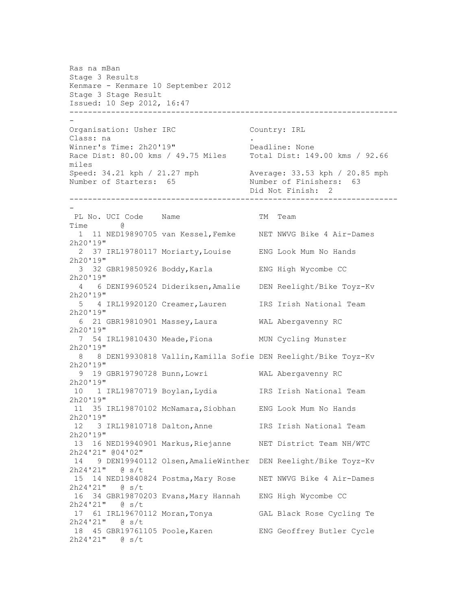Ras na mBan Stage 3 Results Kenmare - Kenmare 10 September 2012 Stage 3 Stage Result Issued: 10 Sep 2012, 16:47 ----------------------------------------------------------------------- - Organisation: Usher IRC Country: IRL Class: na Winner's Time: 2h20'19" Deadline: None Race Dist: 80.00 kms / 49.75 Miles Total Dist: 149.00 kms / 92.66 miles Speed: 34.21 kph / 21.27 mph Average: 33.53 kph / 20.85 mph Number of Starters: 65 Number of Finishers: 63 Did Not Finish: 2 ----------------------------------------------------------------------- - PL No. UCI Code Name TM Team Time @ 1 11 NED19890705 van Kessel,Femke NET NWVG Bike 4 Air-Dames 2h20'19" 2 37 IRL19780117 Moriarty,Louise ENG Look Mum No Hands 2h20'19" 3 32 GBR19850926 Boddy,Karla ENG High Wycombe CC 2h20'19" 4 6 DENI9960524 Dideriksen,Amalie DEN Reelight/Bike Toyz-Kv 2h20'19" 5 4 IRL19920120 Creamer,Lauren IRS Irish National Team 2h20'19" 6 21 GBR19810901 Massey,Laura WAL Abergavenny RC 2h20'19" 7 54 IRL19810430 Meade, Fiona MUN Cycling Munster 2h20'19" 8 8 DEN19930818 Vallin,Kamilla Sofie DEN Reelight/Bike Toyz-Kv 2h20'19" 9 19 GBR19790728 Bunn,Lowri WAL Abergavenny RC 2h20'19" 10 1 IRL19870719 Boylan,Lydia IRS Irish National Team 2h20'19" 11 35 IRL19870102 McNamara,Siobhan ENG Look Mum No Hands 2h20'19" 12 3 IRL19810718 Dalton,Anne IRS Irish National Team 2h20'19" 13 16 NED19940901 Markus,Riejanne NET District Team NH/WTC 2h24'21" @04'02" 14 9 DEN19940112 Olsen,AmalieWinther DEN Reelight/Bike Toyz-Kv 2h24'21" @ s/t 15 14 NED19840824 Postma,Mary Rose NET NWVG Bike 4 Air-Dames 2h24'21" @ s/t 16 34 GBR19870203 Evans,Mary Hannah ENG High Wycombe CC 2h24'21" @ s/t 17 61 IRL19670112 Moran,Tonya GAL Black Rose Cycling Te 2h24'21" @ s/t 18 45 GBR19761105 Poole,Karen ENG Geoffrey Butler Cycle 2h24'21" @ s/t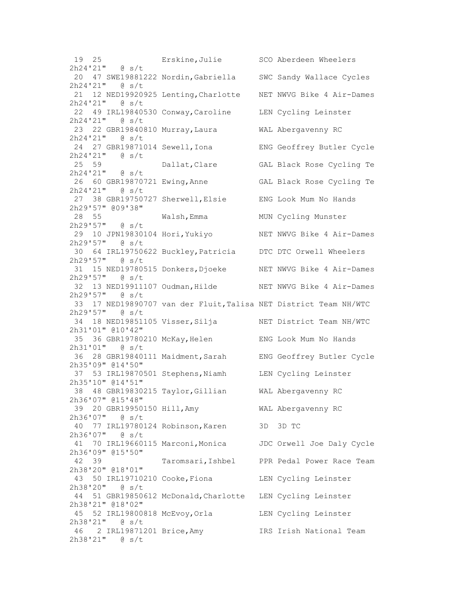19 25 Erskine,Julie SCO Aberdeen Wheelers 2h24'21" @ s/t 20 47 SWE19881222 Nordin,Gabriella SWC Sandy Wallace Cycles 2h24'21" @ s/t 21 12 NED19920925 Lenting,Charlotte NET NWVG Bike 4 Air-Dames 2h24'21" @ s/t 22 49 IRL19840530 Conway,Caroline LEN Cycling Leinster 2h24'21" @ s/t 23 22 GBR19840810 Murray,Laura WAL Abergavenny RC 2h24'21" @ s/t 24 27 GBR19871014 Sewell,Iona ENG Geoffrey Butler Cycle 2h24'21" @ s/t 25 59 Dallat,Clare GAL Black Rose Cycling Te 2h24'21" @ s/t 26 60 GBR19870721 Ewing,Anne GAL Black Rose Cycling Te 2h24'21" @ s/t 27 38 GBR19750727 Sherwell,Elsie ENG Look Mum No Hands 2h29'57" @09'38" 28 55 Walsh, Emma MUN Cycling Munster 2h29'57" @ s/t 29 10 JPN19830104 Hori,Yukiyo NET NWVG Bike 4 Air-Dames 2h29'57" @ s/t 30 64 IRL19750622 Buckley,Patricia DTC DTC Orwell Wheelers 2h29'57" @ s/t 31 15 NED19780515 Donkers,Djoeke NET NWVG Bike 4 Air-Dames 2h29'57" @ s/t 32 13 NED19911107 Oudman,Hilde NET NWVG Bike 4 Air-Dames 2h29'57" @ s/t 33 17 NED19890707 van der Fluit,Talisa NET District Team NH/WTC 2h29'57" @ s/t 34 18 NED19851105 Visser,Silja NET District Team NH/WTC 2h31'01" @10'42" 35 36 GBR19780210 McKay,Helen ENG Look Mum No Hands 2h31'01" @ s/t 36 28 GBR19840111 Maidment,Sarah ENG Geoffrey Butler Cycle 2h35'09" @14'50" 37 53 IRL19870501 Stephens,Niamh LEN Cycling Leinster 2h35'10" @14'51" 38 48 GBR19830215 Taylor,Gillian WAL Abergavenny RC 2h36'07" @15'48" 39 20 GBR19950150 Hill,Amy WAL Abergavenny RC 2h36'07" @ s/t 40 77 IRL19780124 Robinson,Karen 3D 3D TC 2h36'07" @ s/t 41 70 IRL19660115 Marconi,Monica JDC Orwell Joe Daly Cycle 2h36'09" @15'50" 42 39 Taromsari,Ishbel PPR Pedal Power Race Team 2h38'20" @18'01" 43 50 IRL19710210 Cooke,Fiona LEN Cycling Leinster 2h38'20" @ s/t 44 51 GBR19850612 McDonald,Charlotte LEN Cycling Leinster 2h38'21" @18'02" 45 52 IRL19800818 McEvoy,Orla LEN Cycling Leinster 2h38'21" @ s/t 46 2 IRL19871201 Brice,Amy IRS Irish National Team 2h38'21" @ s/t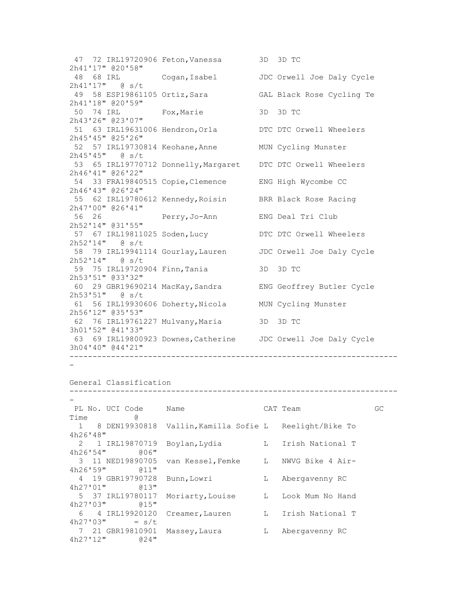47 72 IRL19720906 Feton,Vanessa 3D 3D TC 2h41'17" @20'58" 48 68 IRL Cogan,Isabel JDC Orwell Joe Daly Cycle 2h41'17" @ s/t 49 58 ESP19861105 Ortiz,Sara GAL Black Rose Cycling Te 2h41'18" @20'59" 50 74 IRL Fox,Marie 3D 3D TC 2h43'26" @23'07" 51 63 IRL19631006 Hendron,Orla DTC DTC Orwell Wheelers 2h45'45" @25'26" 52 57 IRL19730814 Keohane,Anne MUN Cycling Munster 2h45'45" @ s/t 53 65 IRL19770712 Donnelly,Margaret DTC DTC Orwell Wheelers 2h46'41" @26'22" 54 33 FRA19840515 Copie,Clemence ENG High Wycombe CC 2h46'43" @26'24" 55 62 IRL19780612 Kennedy,Roisin BRR Black Rose Racing 2h47'00" @26'41" 56 26 Perry,Jo-Ann ENG Deal Tri Club 2h52'14" @31'55" 57 67 IRL19811025 Soden,Lucy DTC DTC Orwell Wheelers 2h52'14" @ s/t 58 79 IRL19941114 Gourlay,Lauren JDC Orwell Joe Daly Cycle 2h52'14" @ s/t 59 75 IRL19720904 Finn,Tania 3D 3D TC 2h53'51" @33'32" 60 29 GBR19690214 MacKay,Sandra ENG Geoffrey Butler Cycle 2h53'51" @ s/t 61 56 IRL19930606 Doherty,Nicola MUN Cycling Munster 2h56'12" @35'53" 62 76 IRL19761227 Mulvany,Maria 3D 3D TC 3h01'52" @41'33" 63 69 IRL19800923 Downes,Catherine JDC Orwell Joe Daly Cycle 3h04'40" @44'21" ----------------------------------------------------------------------- -

General Classification

| PL No. UCI Code      | Name                                                     |   | CAT Team             | GC |
|----------------------|----------------------------------------------------------|---|----------------------|----|
| g)<br>Time           |                                                          |   |                      |    |
|                      | 1 8 DEN19930818 Vallin, Kamilla Sofie L Reelight/Bike To |   |                      |    |
| 4h26'48''            |                                                          |   |                      |    |
| 2 1 IRL19870719      | Boylan, Lydia                                            |   | L Irish National T   |    |
| 4h26'54''<br>$006$ " |                                                          |   |                      |    |
| 3 11 NED19890705     | van Kessel,Femke L                                       |   | NWVG Bike 4 Air-     |    |
| 4h26'59''<br>$011$ " |                                                          |   |                      |    |
| 4 19 GBR19790728     | Bunn, Lowri                                              | L | Abergavenny RC       |    |
| 4h27'01''<br>$013$ " |                                                          |   |                      |    |
| 5 37 IRL19780117     | Moriarty, Louise L                                       |   | Look Mum No Hand     |    |
| 4h27'03''<br>$015$ " |                                                          |   |                      |    |
| 6 4 IRL19920120      | Creamer, Lauren                                          |   | L - Irish National T |    |
| 4h27'03''<br>$= s/t$ |                                                          |   |                      |    |
| 7 21 GBR19810901     | Massey, Laura                                            | L | Abergavenny RC       |    |
| 4h27'12"<br>$024$ "  |                                                          |   |                      |    |

-----------------------------------------------------------------------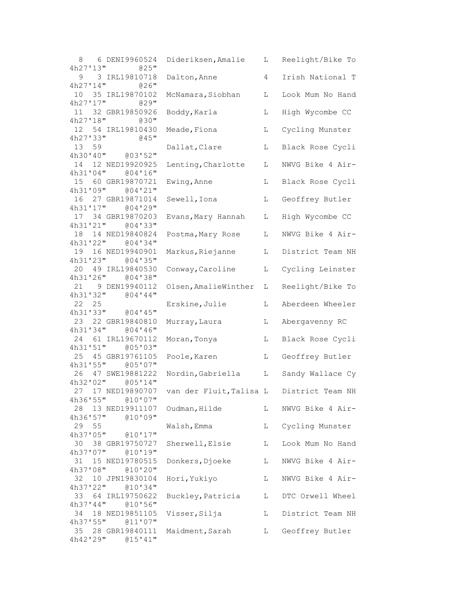| 6 DENI9960524<br>8<br>4h27'13''<br>@25"                               | Dideriksen, Amalie                       | L  | Reelight/Bike To |
|-----------------------------------------------------------------------|------------------------------------------|----|------------------|
| 9<br>3 IRL19810718<br>4h27'14''<br>@26"                               | Dalton, Anne                             | 4  | Irish National T |
| 35 IRL19870102<br>10<br>4h27'17''<br>$029$ "                          | McNamara, Siobhan                        | L  | Look Mum No Hand |
| 32 GBR19850926<br>11<br>4h27'18"<br>$030$ "                           | Boddy, Karla                             | L  | High Wycombe CC  |
| 54 IRL19810430<br>12<br>4h27'33"<br>$045$ "                           | Meade, Fiona                             | L  | Cycling Munster  |
| 13<br>59<br>4h30'40''<br>@03'52"                                      | Dallat, Clare                            | L  | Black Rose Cycli |
| 12 NED19920925<br>14                                                  | Lenting, Charlotte                       | L  | NWVG Bike 4 Air- |
| 4h31'04''<br>004'16''<br>15<br>60 GBR19870721<br>4h31'09"<br>004'21'' | Ewing, Anne                              | L  | Black Rose Cycli |
| 27 GBR19871014<br>16<br>4h31'17"                                      | Sewell, Iona                             | L  | Geoffrey Butler  |
| 004'29''<br>17 34 GBR19870203<br>4h31'21"<br>@04'33"                  | Evans, Mary Hannah                       | L  | High Wycombe CC  |
| 18  14  NED19840824<br>4h31'22"<br>004'34''                           | Postma, Mary Rose                        | L  | NWVG Bike 4 Air- |
| 19<br>16 NED19940901<br>4h31'23"<br>@04'35"                           | Markus, Riejanne                         | L  | District Team NH |
| 49 IRL19840530<br>20<br>4h31'26"                                      | Conway, Caroline                         | L  | Cycling Leinster |
| @04'38"<br>9 DEN19940112<br>21                                        | Olsen, AmalieWinther                     | L  | Reelight/Bike To |
| 4h31'32"<br>004'44''<br>22<br>25                                      | Erskine, Julie                           | L  | Aberdeen Wheeler |
| 4h31'33"<br>@04'45"<br>23<br>22 GBR19840810<br>4h31'34"               | Murray, Laura                            | L  | Abergavenny RC   |
| 004'36''<br>24<br>61 IRL19670112                                      | Moran, Tonya                             | L  | Black Rose Cycli |
| 4h31'51''<br>005'03''<br>25<br>45 GBR19761105                         | Poole, Karen                             | L  | Geoffrey Butler  |
| 4h31'55"<br>005'07''<br>47 SWE19881222<br>26                          | Nordin, Gabriella                        | L  | Sandy Wallace Cy |
| 4h32''02''<br>005'14"<br>27 17 NED19890707                            | van der Fluit, Talisa L District Team NH |    |                  |
| 4h36'55" @10'07"<br>28 13 NED19911107                                 | Oudman, Hilde                            | L  | NWVG Bike 4 Air- |
| 4h36'57''<br>@10'09"<br>55<br>29                                      | Walsh, Emma                              | L. | Cycling Munster  |
| 4h37'05"<br>@10'17"<br>38 GBR19750727<br>30                           | Sherwell, Elsie                          | L  | Look Mum No Hand |
| 4h37'07''<br>@10'19"<br>31<br>15 NED19780515                          | Donkers, Djoeke                          | L  | NWVG Bike 4 Air- |
| 4h37'08"<br>@10'20"<br>32<br>10 JPN19830104                           | Hori, Yukiyo                             | L  | NWVG Bike 4 Air- |
| 4h37'22"<br>@10'34"<br>33<br>64 IRL19750622                           | Buckley, Patricia                        | L  | DTC Orwell Wheel |
| 4h37'44"<br>@10'56"<br>18 NED19851105<br>34                           | Visser, Silja                            | L  | District Team NH |
| $4h37$ '55"<br>011'07''<br>35<br>28 GBR19840111                       | Maidment, Sarah                          | L  | Geoffrey Butler  |
| 4h42'29''<br>015'41''                                                 |                                          |    |                  |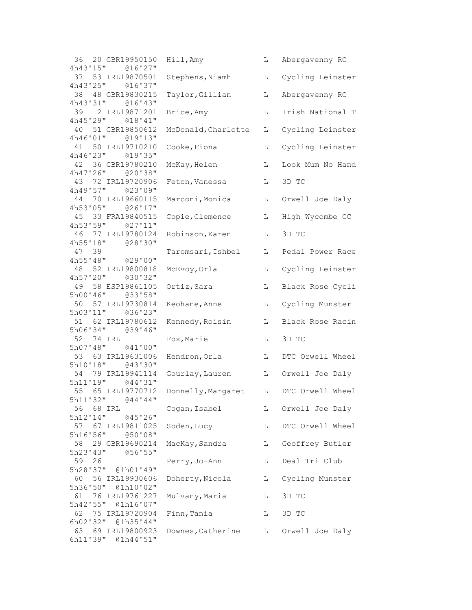| 36 20 GBR19950150                          | Hill, Amy           | L | Abergavenny RC   |
|--------------------------------------------|---------------------|---|------------------|
| 4h43'15"<br>@16'27"<br>37 53 IRL19870501   | Stephens, Niamh     | L | Cycling Leinster |
| 4h43'25" @16'37"                           |                     |   |                  |
| 38<br>48 GBR19830215                       | Taylor, Gillian     | L | Abergavenny RC   |
| 4h43'31''<br>016'43''                      |                     |   |                  |
| 39 2 IRL19871201<br>4h45'29"<br>018'41''   | Brice, Amy          | L | Irish National T |
| 40 51 GBR19850612                          | McDonald, Charlotte | L | Cycling Leinster |
| 4h46'01" @19'13"                           |                     |   |                  |
| 41<br>50 IRL19710210                       | Cooke, Fiona        | L | Cycling Leinster |
| 4h46'23" @19'35"                           |                     |   |                  |
| 42<br>36 GBR19780210                       | McKay, Helen        | L | Look Mum No Hand |
| 4h47'26''<br>@20'38"                       |                     |   |                  |
| 43 72 IRL19720906<br>4h49'57''<br>023'09'' | Feton, Vanessa      | L | 3D TC            |
| 44 70 IRL19660115                          | Marconi, Monica     | L | Orwell Joe Daly  |
| 4h53'05"<br>@26'17"                        |                     |   |                  |
| 45 33 FRA19840515                          | Copie, Clemence     | L | High Wycombe CC  |
| 4h53'59" @27'11"                           |                     |   |                  |
| 46 77 IRL19780124                          | Robinson, Karen     | L | 3D TC            |
| 4h55'18" @28'30"                           |                     |   |                  |
| 39<br>47                                   | Taromsari, Ishbel   | L | Pedal Power Race |
| 4h55'48" @29'00"<br>52 IRL19800818<br>48   |                     |   |                  |
| 4h57''20'''<br>@30'32"                     | McEvoy, Orla        | L | Cycling Leinster |
| 49 58 ESP19861105                          | Ortiz, Sara         | L | Black Rose Cycli |
| 5h00'46" @33'58"                           |                     |   |                  |
| 50 57 IRL19730814                          | Keohane, Anne       | L | Cycling Munster  |
| 5h03'11" @36'23"                           |                     |   |                  |
| 51 62 IRL19780612                          | Kennedy, Roisin     | L | Black Rose Racin |
| 5h06'34"<br>039'16''                       |                     |   |                  |
| 52 74 IRL<br>5h07'48"<br>041'00''          | Fox, Marie          | L | 3D TC            |
| 53 63 IRL19631006                          | Hendron, Orla       | L | DTC Orwell Wheel |
| 5h10'18"<br>043'30''                       |                     |   |                  |
| 54 79 IRL19941114                          | Gourlay, Lauren     | L | Orwell Joe Daly  |
| 5h11'19" @44'31"                           |                     |   |                  |
| 55 65 IRL19770712                          | Donnelly, Margaret  | L | DTC Orwell Wheel |
| 5h11'32" @44'44"                           |                     |   |                  |
| 56 68 IRL<br>5h12'14"<br>045'26''          | Cogan, Isabel       | L | Orwell Joe Daly  |
| 57 67 IRL19811025                          | Soden, Lucy         | L | DTC Orwell Wheel |
| 5h16'56''<br>050'08"                       |                     |   |                  |
| 58 29 GBR19690214                          | MacKay, Sandra      | L | Geoffrey Butler  |
| 5h23'43''<br>056'55''                      |                     |   |                  |
| 59 26                                      | Perry, Jo-Ann       | L | Deal Tri Club    |
| 5h28'37" @1h01'49"                         |                     |   |                  |
| 56 IRL19930606<br>60 -                     | Doherty, Nicola     | L | Cycling Munster  |
| 5h36'50" @1h10'02"<br>61 76 IRL19761227    | Mulvany, Maria      | L | 3D TC            |
| 5h42'55" @1h16'07"                         |                     |   |                  |
| 62 75 IRL19720904                          | Finn, Tania         | L | 3D TC            |
| 6h02'32" @1h35'44"                         |                     |   |                  |
| 63 69 IRL19800923                          | Downes, Catherine   | L | Orwell Joe Daly  |
| 6h11'39" @1h44'51"                         |                     |   |                  |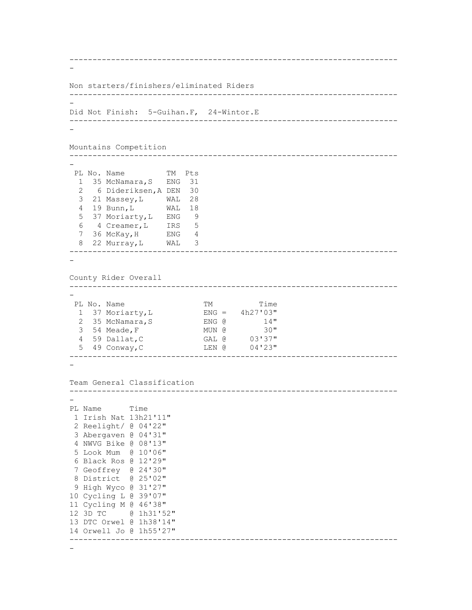```
-----------------------------------------------------------------------
-
Non starters/finishers/eliminated Riders
-----------------------------------------------------------------------
-
Did Not Finish: 5-Guihan.F, 24-Wintor.E
-----------------------------------------------------------------------
-
Mountains Competition
-----------------------------------------------------------------------
-
 PL No. Name TM Pts
 1 35 McNamara, S ENG 31
  2 6 Dideriksen,A DEN 30 
  3 21 Massey,L WAL 28 
   4 19 Bunn,L WAL 18 
   5 37 Moriarty,L ENG 9 
   6 4 Creamer,L IRS 5 
 7 36 McKay,H ENG 4 
 8 22 Murray,L WAL 3 
-----------------------------------------------------------------------
-
County Rider Overall
-----------------------------------------------------------------------
-
 PL No. Name TM Time
 1 37 Moriarty, L ENG = 4h27'03"
2 35 McNamara, S ENG @ 14"
 3 54 Meade,F MUN @ 30" 
  4 59 Dallat,C GAL @ 03'37" 
   5 49 Conway,C LEN @ 04'23" 
-----------------------------------------------------------------------
-
Team General Classification
-----------------------------------------------------------------------
-
PL Name Time 
 1 Irish Nat 13h21'11" 
 2 Reelight/ @ 04'22" 
 3 Abergaven @ 04'31" 
 4 NWVG Bike @ 08'13" 
 5 Look Mum @ 10'06" 
 6 Black Ros @ 12'29" 
 7 Geoffrey @ 24'30" 
8 District @ 25'02" 
9 High Wyco @ 31'27" 
10 Cycling L @ 39'07" 
11 Cycling M @ 46'38" 
12 3D TC @ 1h31'52" 
13 DTC Orwel @ 1h38'14" 
14 Orwell Jo @ 1h55'27" 
  -----------------------------------------------------------------------
```
-